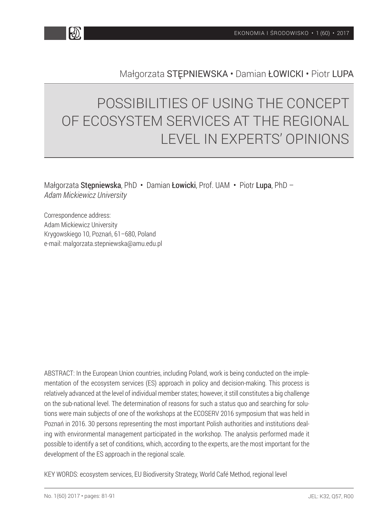

## Małgorzata STĘPNIEWSKA • Damian ŁOWICKI • Piotr LUPA

# POSSIBILITIES OF USING THE CONCEPT OF ECOSYSTEM SERVICES AT THE REGIONAL LEVEL IN EXPERTS' OPINIONS

Małgorzata Stępniewska, PhD • Damian Łowicki, Prof. UAM • Piotr Lupa, PhD – *Adam Mickiewicz University*

Correspondence address: Adam Mickiewicz University Krygowskiego 10, Poznań, 61–680, Poland e-mail: malgorzata.stepniewska@amu.edu.pl

ABSTRACT: In the European Union countries, including Poland, work is being conducted on the implementation of the ecosystem services (ES) approach in policy and decision-making. This process is relatively advanced at the level of individual member states; however, it still constitutes a big challenge on the sub-national level. The determination of reasons for such a status quo and searching for solutions were main subjects of one of the workshops at the ECOSERV 2016 symposium that was held in Poznań in 2016. 30 persons representing the most important Polish authorities and institutions dealing with environmental management participated in the workshop. The analysis performed made it possible to identify a set of conditions, which, according to the experts, are the most important for the development of the ES approach in the regional scale.

KEY WORDS: ecosystem services, EU Biodiversity Strategy, World Café Method, regional level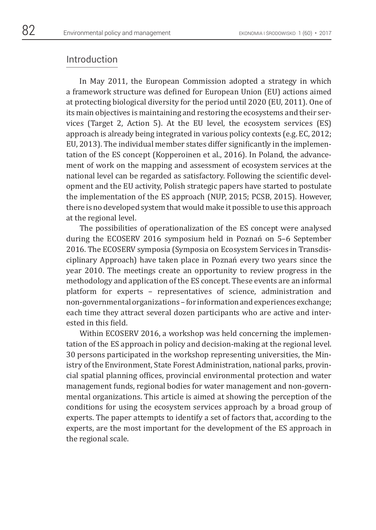#### Introduction

In May 2011, the European Commission adopted a strategy in which a framework structure was defined for European Union (EU) actions aimed at protecting biological diversity for the period until 2020 (EU, 2011). One of its main objectives is maintaining and restoring the ecosystems and their services (Target 2, Action 5). At the EU level, the ecosystem services (ES) approach is already being integrated in various policy contexts (e.g. EC, 2012; EU, 2013). The individual member states differ significantly in the implementation of the ES concept (Kopperoinen et al., 2016). In Poland, the advancement of work on the mapping and assessment of ecosystem services at the national level can be regarded as satisfactory. Following the scientific development and the EU activity, Polish strategic papers have started to postulate the implementation of the ES approach (NUP, 2015; PCSB, 2015). However, there is no developed system that would make it possible to use this approach at the regional level.

The possibilities of operationalization of the ES concept were analysed during the ECOSERV 2016 symposium held in Poznań on 5–6 September 2016. The ECOSERV symposia (Symposia on Ecosystem Services in Transdisciplinary Approach) have taken place in Poznań every two years since the year 2010. The meetings create an opportunity to review progress in the methodology and application of the ES concept. These events are an informal platform for experts – representatives of science, administration and non-governmental organizations – for information and experiences exchange; each time they attract several dozen participants who are active and interested in this field.

Within ECOSERV 2016, a workshop was held concerning the implementation of the ES approach in policy and decision-making at the regional level. 30 persons participated in the workshop representing universities, the Ministry of the Environment, State Forest Administration, national parks, provincial spatial planning offices, provincial environmental protection and water management funds, regional bodies for water management and non-governmental organizations. This article is aimed at showing the perception of the conditions for using the ecosystem services approach by a broad group of experts. The paper attempts to identify a set of factors that, according to the experts, are the most important for the development of the ES approach in the regional scale.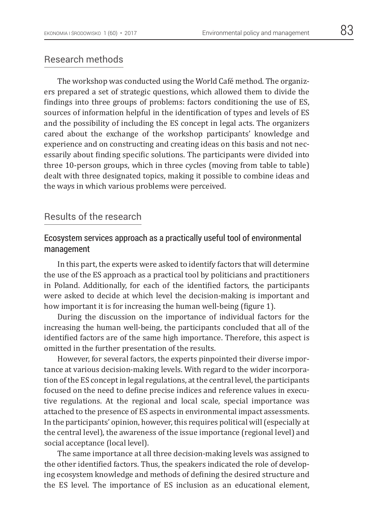### Research methods

The workshop was conducted using the World Café method. The organizers prepared a set of strategic questions, which allowed them to divide the findings into three groups of problems: factors conditioning the use of ES, sources of information helpful in the identification of types and levels of ES and the possibility of including the ES concept in legal acts. The organizers cared about the exchange of the workshop participants' knowledge and experience and on constructing and creating ideas on this basis and not necessarily about finding specific solutions. The participants were divided into three 10-person groups, which in three cycles (moving from table to table) dealt with three designated topics, making it possible to combine ideas and the ways in which various problems were perceived.

## Results of the research

## Ecosystem services approach as a practically useful tool of environmental management

In this part, the experts were asked to identify factors that will determine the use of the ES approach as a practical tool by politicians and practitioners in Poland. Additionally, for each of the identified factors, the participants were asked to decide at which level the decision-making is important and how important it is for increasing the human well-being (figure 1).

During the discussion on the importance of individual factors for the increasing the human well-being, the participants concluded that all of the identified factors are of the same high importance. Therefore, this aspect is omitted in the further presentation of the results.

However, for several factors, the experts pinpointed their diverse importance at various decision-making levels. With regard to the wider incorporation of the ES concept in legal regulations, at the central level, the participants focused on the need to define precise indices and reference values in executive regulations. At the regional and local scale, special importance was attached to the presence of ES aspects in environmental impact assessments. In the participants' opinion, however, this requires political will (especially at the central level), the awareness of the issue importance (regional level) and social acceptance (local level).

The same importance at all three decision-making levels was assigned to the other identified factors. Thus, the speakers indicated the role of developing ecosystem knowledge and methods of defining the desired structure and the ES level. The importance of ES inclusion as an educational element,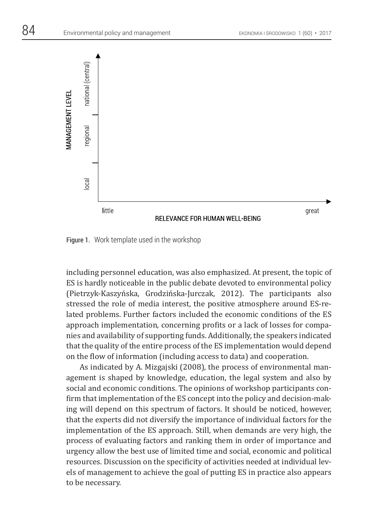



Figure 1. Work template used in the workshop

including personnel education, was also emphasized. At present, the topic of ES is hardly noticeable in the public debate devoted to environmental policy (Pietrzyk-Kaszyńska, Grodzińska-Jurczak, 2012). The participants also stressed the role of media interest, the positive atmosphere around ES-related problems. Further factors included the economic conditions of the ES approach implementation, concerning profits or a lack of losses for companies and availability of supporting funds. Additionally, the speakers indicated that the quality of the entire process of the ES implementation would depend on the flow of information (including access to data) and cooperation.

As indicated by A. Mizgajski (2008), the process of environmental management is shaped by knowledge, education, the legal system and also by social and economic conditions. The opinions of workshop participants confirm that implementation of the ES concept into the policy and decision-making will depend on this spectrum of factors. It should be noticed, however, that the experts did not diversify the importance of individual factors for the implementation of the ES approach. Still, when demands are very high, the process of evaluating factors and ranking them in order of importance and urgency allow the best use of limited time and social, economic and political resources. Discussion on the specificity of activities needed at individual levels of management to achieve the goal of putting ES in practice also appears to be necessary.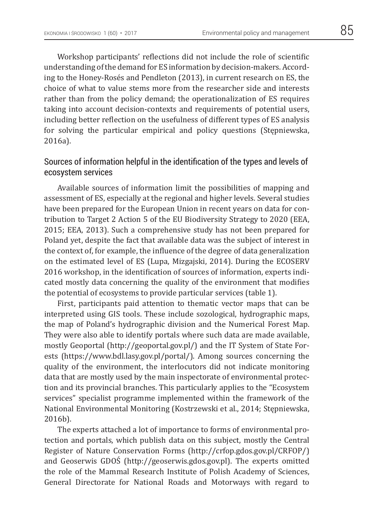Workshop participants' reflections did not include the role of scientific understanding of the demand for ES information by decision-makers. According to the Honey-Rosés and Pendleton (2013), in current research on ES, the choice of what to value stems more from the researcher side and interests rather than from the policy demand; the operationalization of ES requires taking into account decision-contexts and requirements of potential users, including better reflection on the usefulness of different types of ES analysis for solving the particular empirical and policy questions (Stępniewska, 2016a).

## Sources of information helpful in the identification of the types and levels of ecosystem services

Available sources of information limit the possibilities of mapping and assessment of ES, especially at the regional and higher levels. Several studies have been prepared for the European Union in recent years on data for contribution to Target 2 Action 5 of the EU Biodiversity Strategy to 2020 (EEA, 2015; EEA, 2013). Such a comprehensive study has not been prepared for Poland yet, despite the fact that available data was the subject of interest in the context of, for example, the influence of the degree of data generalization on the estimated level of ES (Lupa, Mizgajski, 2014). During the ECOSERV 2016 workshop, in the identification of sources of information, experts indicated mostly data concerning the quality of the environment that modifies the potential of ecosystems to provide particular services (table 1).

First, participants paid attention to thematic vector maps that can be interpreted using GIS tools. These include sozological, hydrographic maps, the map of Poland's hydrographic division and the Numerical Forest Map. They were also able to identify portals where such data are made available, mostly Geoportal (http://geoportal.gov.pl/) and the IT System of State Forests (https://www.bdl.lasy.gov.pl/portal/). Among sources concerning the quality of the environment, the interlocutors did not indicate monitoring data that are mostly used by the main inspectorate of environmental protection and its provincial branches. This particularly applies to the "Ecosystem services" specialist programme implemented within the framework of the National Environmental Monitoring (Kostrzewski et al., 2014; Stępniewska, 2016b).

The experts attached a lot of importance to forms of environmental protection and portals, which publish data on this subject, mostly the Central Register of Nature Conservation Forms (http://crfop.gdos.gov.pl/CRFOP/) and Geoserwis GDOŚ (http://geoserwis.gdos.gov.pl). The experts omitted the role of the Mammal Research Institute of Polish Academy of Sciences, General Directorate for National Roads and Motorways with regard to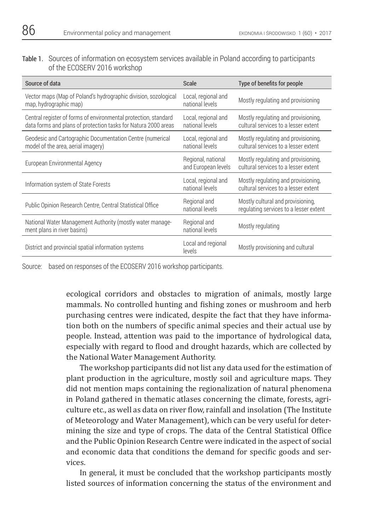Table 1. Sources of information on ecosystem services available in Poland according to participants of the ECOSERV 2016 workshop

| Source of data                                                                                                                    | <b>Scale</b>                              | Type of benefits for people                                                 |  |  |
|-----------------------------------------------------------------------------------------------------------------------------------|-------------------------------------------|-----------------------------------------------------------------------------|--|--|
| Vector maps (Map of Poland's hydrographic division, sozological<br>map, hydrographic map)                                         | Local, regional and<br>national levels    | Mostly regulating and provisioning                                          |  |  |
| Central register of forms of environmental protection, standard<br>data forms and plans of protection tasks for Natura 2000 areas | Local, regional and<br>national levels    | Mostly regulating and provisioning,<br>cultural services to a lesser extent |  |  |
| Geodesic and Cartographic Documentation Centre (numerical<br>model of the area, aerial imagery)                                   | Local, regional and<br>national levels    | Mostly regulating and provisioning,<br>cultural services to a lesser extent |  |  |
| European Environmental Agency                                                                                                     | Regional, national<br>and European levels | Mostly regulating and provisioning,<br>cultural services to a lesser extent |  |  |
| Information system of State Forests                                                                                               | Local, regional and<br>national levels    | Mostly regulating and provisioning,<br>cultural services to a lesser extent |  |  |
| Public Opinion Research Centre, Central Statistical Office                                                                        | Regional and<br>national levels           | Mostly cultural and provisioning,<br>regulating services to a lesser extent |  |  |
| National Water Management Authority (mostly water manage-<br>ment plans in river basins)                                          | Regional and<br>national levels           | Mostly regulating                                                           |  |  |
| District and provincial spatial information systems                                                                               | Local and regional<br>levels              | Mostly provisioning and cultural                                            |  |  |

Source: based on responses of the ECOSERV 2016 workshop participants.

 ecological corridors and obstacles to migration of animals, mostly large mammals. No controlled hunting and fishing zones or mushroom and herb purchasing centres were indicated, despite the fact that they have information both on the numbers of specific animal species and their actual use by people. Instead, attention was paid to the importance of hydrological data, especially with regard to flood and drought hazards, which are collected by the National Water Management Authority.

The workshop participants did not list any data used for the estimation of plant production in the agriculture, mostly soil and agriculture maps. They did not mention maps containing the regionalization of natural phenomena in Poland gathered in thematic atlases concerning the climate, forests, agriculture etc., as well as data on river flow, rainfall and insolation (The Institute of Meteorology and Water Management), which can be very useful for determining the size and type of crops. The data of the Central Statistical Office and the Public Opinion Research Centre were indicated in the aspect of social and economic data that conditions the demand for specific goods and services.

In general, it must be concluded that the workshop participants mostly listed sources of information concerning the status of the environment and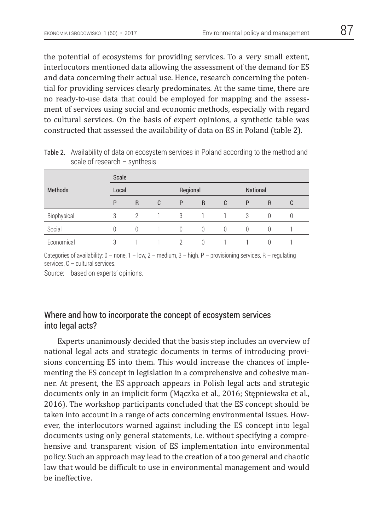the potential of ecosystems for providing services. To a very small extent, interlocutors mentioned data allowing the assessment of the demand for ES and data concerning their actual use. Hence, research concerning the potential for providing services clearly predominates. At the same time, there are no ready-to-use data that could be employed for mapping and the assessment of services using social and economic methods, especially with regard to cultural services. On the basis of expert opinions, a synthetic table was constructed that assessed the availability of data on ES in Poland (table 2).

|                | Scale |              |   |          |              |          |                 |                |   |
|----------------|-------|--------------|---|----------|--------------|----------|-----------------|----------------|---|
| <b>Methods</b> | Local |              |   | Regional |              |          | <b>National</b> |                |   |
|                | P     | $\mathsf{R}$ | C | P        | $\mathsf{R}$ | C        | P               | $\overline{R}$ | C |
| Biophysical    | 3     | $\gamma$     |   | 3        |              |          | 3               | $\Omega$       |   |
| Social         | U     | 0            |   | $\theta$ | $\theta$     | $\Omega$ | $\Omega$        |                |   |
| Economical     | 3     |              |   | $\gamma$ | $\Omega$     |          |                 |                |   |

Table 2. Availability of data on ecosystem services in Poland according to the method and scale of research – synthesis

Categories of availability:  $0 -$  none,  $1 -$ low,  $2 -$  medium,  $3 -$ high.  $P -$  provisioning services,  $R -$  regulating services, C – cultural services.

Source: based on experts' opinions.

### Where and how to incorporate the concept of ecosystem services into legal acts?

Experts unanimously decided that the basis step includes an overview of national legal acts and strategic documents in terms of introducing provisions concerning ES into them. This would increase the chances of implementing the ES concept in legislation in a comprehensive and cohesive manner. At present, the ES approach appears in Polish legal acts and strategic documents only in an implicit form (Mączka et al., 2016; Stępniewska et al., 2016). The workshop participants concluded that the ES concept should be taken into account in a range of acts concerning environmental issues. However, the interlocutors warned against including the ES concept into legal documents using only general statements, i.e. without specifying a comprehensive and transparent vision of ES implementation into environmental policy. Such an approach may lead to the creation of a too general and chaotic law that would be difficult to use in environmental management and would be ineffective.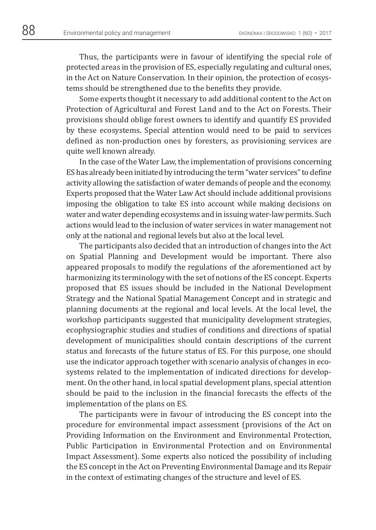Thus, the participants were in favour of identifying the special role of protected areas in the provision of ES, especially regulating and cultural ones, in the Act on Nature Conservation. In their opinion, the protection of ecosystems should be strengthened due to the benefits they provide.

Some experts thought it necessary to add additional content to the Act on Protection of Agricultural and Forest Land and to the Act on Forests. Their provisions should oblige forest owners to identify and quantify ES provided by these ecosystems. Special attention would need to be paid to services defined as non-production ones by foresters, as provisioning services are quite well known already.

In the case of the Water Law, the implementation of provisions concerning ES has already been initiated by introducing the term "water services" to define activity allowing the satisfaction of water demands of people and the economy. Experts proposed that the Water Law Act should include additional provisions imposing the obligation to take ES into account while making decisions on water and water depending ecosystems and in issuing water-law permits. Such actions would lead to the inclusion of water services in water management not only at the national and regional levels but also at the local level.

The participants also decided that an introduction of changes into the Act on Spatial Planning and Development would be important. There also appeared proposals to modify the regulations of the aforementioned act by harmonizing its terminology with the set of notions of the ES concept. Experts proposed that ES issues should be included in the National Development Strategy and the National Spatial Management Concept and in strategic and planning documents at the regional and local levels. At the local level, the workshop participants suggested that municipality development strategies, ecophysiographic studies and studies of conditions and directions of spatial development of municipalities should contain descriptions of the current status and forecasts of the future status of ES. For this purpose, one should use the indicator approach together with scenario analysis of changes in ecosystems related to the implementation of indicated directions for development. On the other hand, in local spatial development plans, special attention should be paid to the inclusion in the financial forecasts the effects of the implementation of the plans on ES.

The participants were in favour of introducing the ES concept into the procedure for environmental impact assessment (provisions of the Act on Providing Information on the Environment and Environmental Protection, Public Participation in Environmental Protection and on Environmental Impact Assessment). Some experts also noticed the possibility of including the ES concept in the Act on Preventing Environmental Damage and its Repair in the context of estimating changes of the structure and level of ES.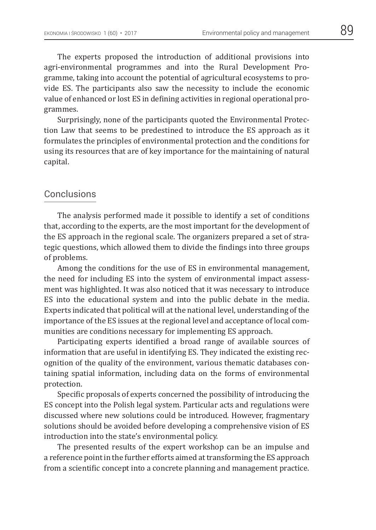The experts proposed the introduction of additional provisions into agri-environmental programmes and into the Rural Development Programme, taking into account the potential of agricultural ecosystems to provide ES. The participants also saw the necessity to include the economic value of enhanced or lost ES in defining activities in regional operational programmes.

Surprisingly, none of the participants quoted the Environmental Protection Law that seems to be predestined to introduce the ES approach as it formulates the principles of environmental protection and the conditions for using its resources that are of key importance for the maintaining of natural capital.

#### Conclusions

The analysis performed made it possible to identify a set of conditions that, according to the experts, are the most important for the development of the ES approach in the regional scale. The organizers prepared a set of strategic questions, which allowed them to divide the findings into three groups of problems.

Among the conditions for the use of ES in environmental management, the need for including ES into the system of environmental impact assessment was highlighted. It was also noticed that it was necessary to introduce ES into the educational system and into the public debate in the media. Experts indicated that political will at the national level, understanding of the importance of the ES issues at the regional level and acceptance of local communities are conditions necessary for implementing ES approach.

Participating experts identified a broad range of available sources of information that are useful in identifying ES. They indicated the existing recognition of the quality of the environment, various thematic databases containing spatial information, including data on the forms of environmental protection.

Specific proposals of experts concerned the possibility of introducing the ES concept into the Polish legal system. Particular acts and regulations were discussed where new solutions could be introduced. However, fragmentary solutions should be avoided before developing a comprehensive vision of ES introduction into the state's environmental policy.

The presented results of the expert workshop can be an impulse and a reference point in the further efforts aimed at transforming the ES approach from a scientific concept into a concrete planning and management practice.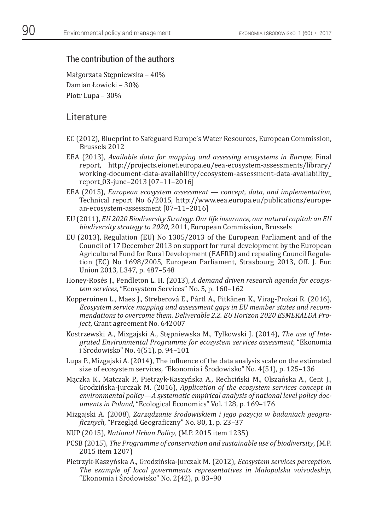## The contribution of the authors

Małgorzata Stępniewska – 40% Damian Łowicki – 30% Piotr Lupa – 30%

### Literature

- EC (2012), Blueprint to Safeguard Europe's Water Resources, European Commission, Brussels 2012
- EEA (2013), *Available data for mapping and assessing ecosystems in Europe,* Final report, http://projects.eionet.europa.eu/eea-ecosystem-assessments/library/ working-document-data-availability/ecosystem-assessment-data-availability\_ report\_03-june–2013 [07–11–2016]
- EEA (2015), *European ecosystem assessment concept, data, and implementation*, Technical report No 6/2015, http://www.eea.europa.eu/publications/european-ecosystem-assessment [07–11–2016]
- EU (2011), *EU 2020 Biodiversity Strategy. Our life insurance, our natural capital: an EU biodiversity strategy to 2020*, 2011, European Commission, Brussels
- EU (2013), Regulation (EU) No 1305/2013 of the European Parliament and of the Council of 17 December 2013 on support for rural development by the European Agricultural Fund for Rural Development (EAFRD) and repealing Council Regulation (EC) No 1698/2005, European Parliament, Strasbourg 2013, Off. J. Eur. Union 2013, L347, p. 487–548
- Honey-Rosés J., Pendleton L. H. (2013), *A demand driven research agenda for ecosystem services*, "Ecosystem Services" No. 5, p. 160–162
- Kopperoinen L., Maes J., Streberová E., Pártl A., Pitkänen K., Virag-Prokai R. (2016), *Ecosystem service mapping and assessment gaps in EU member states and recommendations to overcome them. Deliverable 2.2. EU Horizon 2020 ESMERALDA Project*, Grant agreement No. 642007
- Kostrzewski A., Mizgajski A., Stępniewska M., Tylkowski J. (2014), *The use of Integrated Environmental Programme for ecosystem services assessment*, "Ekonomia i Środowisko" No. 4(51), p. 94–101
- Lupa P., Mizgajski A. (2014), The influence of the data analysis scale on the estimated size of ecosystem services*, "*Ekonomia i Środowisko" No. 4(51), p. 125–136
- Mączka K., Matczak P., Pietrzyk-Kaszyńska A., Rechciński M., Olszańska A., Cent J., Grodzińska-Jurczak M. (2016), *Application of the ecosystem services concept in environmental policy—A systematic empirical analysis of national level policy documents in Poland*, "Ecological Economics" Vol. 128, p. 169–176
- Mizgajski A. (2008), *Zarządzanie środowiskiem i jego pozycja w badaniach geogra-ϔicznych*, "Przegląd Geograϐiczny" No. 80, 1, p. 23–37
- NUP (2015), *National Urban Policy*, (M.P. 2015 item 1235)
- PCSB (2015), *The Programme of conservation and sustainable use of biodiversity*, (M.P. 2015 item 1207)
- Pietrzyk-Kaszyńska A., Grodzińska-Jurczak M. (2012), *Ecosystem services perception. The example of local governments representatives in Małopolska voivodeship*, "Ekonomia i Środowisko" No. 2(42), p. 83–90